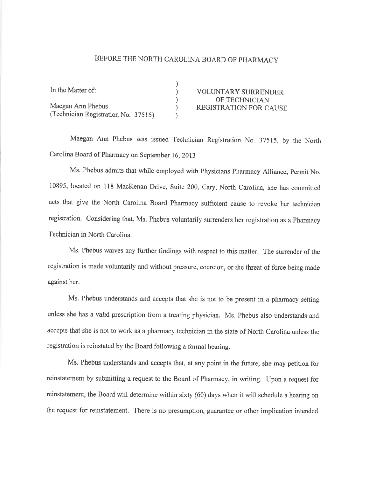## BEFORE THE NORTH CAROLINA BOARD OF PHARMACY

| In the Matter of:                   |                               |
|-------------------------------------|-------------------------------|
|                                     | <b>VOLUNTARY SURRENDER</b>    |
|                                     | OF TECHNICIAN                 |
| Maegan Ann Phebus                   | <b>REGISTRATION FOR CAUSE</b> |
| (Technician Registration No. 37515) |                               |

Maegan Ann Phebus was issued Technician Registration No. 37515, by the North Carolina Board of Pharmacy on September 16, 2013

Ms. Phebus admits that while employed with Physicians Pharmacy Alliance, Permit No. 10895, located on 118 MacKenan Drive, Suite 200, Cary, North Carolina, she has committed acts that give the North Carolina Board Pharmacy sufficient câuse to revoke her technician registration. Considering that, Ms. Phebus voluntarily surrenders her registration as a Pharmacy Technician in North Carolina.

Ms. Phebus waives any further findings with respect to this matter. The surrender of the registration is made voluntarily and without pressure, coercion, or the threat of force being made against her.

Ms. Phebus understands and accepts that she is not to be present in a pharmacy setting unless she has a valid prescription from a treating physician. Ms. Phebus also understands and accepts that she is not to work as a pharmacy technician in the state of North Carolina unless the registration is reinstated by the Board following a formal hearing.

Ms. Phebus understands and accepts that, at any point in the future, she may petition for reinstatement by submitting a request to the Board of Pharmacy, in writing. Upon a request for reinstatement, the Board will determine within sixty (60) days when it will schedule a hearing on the request for reinstatement. There is no presumption, guarantee or other implication intended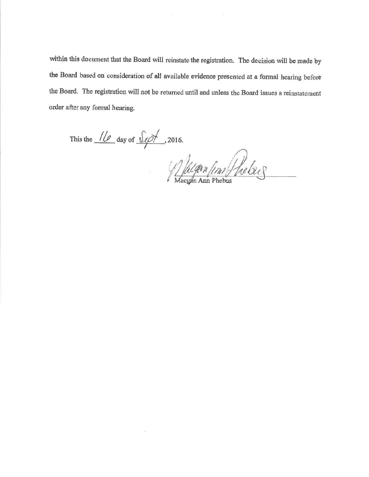within this document that the Board will reinstate the registration. The decision will be made by the Board based on consideration of all available evidence presented at a formal hearing before the Board. The registration will not be returned until and unless the Board issues a reinstatement order after any formal hearing.

This the  $\frac{1}{\sqrt{2}}$  day of  $\frac{\sqrt{2}}{\sqrt{2}}$ , 2016.

Relation fin Phebics